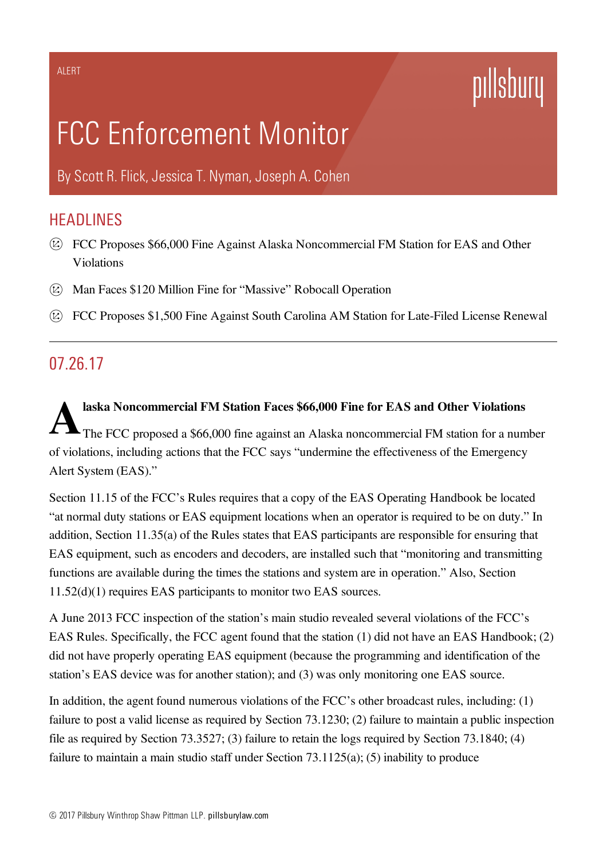# pillsbury

# FCC Enforcement Monitor

By [Scott](https://www.pillsburylaw.com/en/lawyers/scott-flick.html) R. Flick, [Jessica](https://www.pillsburylaw.com/en/lawyers/jessica-nyman.html) T. Nyman, [Joseph](https://www.pillsburylaw.com/en/lawyers/joseph-cohen.html) A. Cohen

## **HEADLINES**

- FCC Proposes \$66,000 Fine Against Alaska Noncommercial FM Station for EAS and Other Violations
- Man Faces \$120 Million Fine for "Massive" Robocall Operation
- FCC Proposes \$1,500 Fine Against South Carolina AM Station for Late-Filed License Renewal

### 07.26.17

 ${\bf A}^{\scriptscriptstyle\rm la}_{\scriptscriptstyle\rm TI}$ laska Noncommercial FM Station Faces \$66,000 Fine for EAS and Other Violations The FCC proposed a \$66,000 fine against an Alaska noncommercial FM station for a number of violations, including actions that the FCC says "undermine the effectiveness of the Emergency Alert System (EAS)."

Section 11.15 of the FCC's Rules requires that a copy of the EAS Operating Handbook be located "at normal duty stations or EAS equipment locations when an operator is required to be on duty." In addition, Section 11.35(a) of the Rules states that EAS participants are responsible for ensuring that EAS equipment, such as encoders and decoders, are installed such that "monitoring and transmitting functions are available during the times the stations and system are in operation." Also, Section 11.52(d)(1) requires EAS participants to monitor two EAS sources.

A June 2013 FCC inspection of the station's main studio revealed several violations of the FCC's EAS Rules. Specifically, the FCC agent found that the station (1) did not have an EAS Handbook; (2) did not have properly operating EAS equipment (because the programming and identification of the station's EAS device was for another station); and (3) was only monitoring one EAS source.

In addition, the agent found numerous violations of the FCC's other broadcast rules, including: (1) failure to post a valid license as required by Section 73.1230; (2) failure to maintain a public inspection file as required by Section 73.3527; (3) failure to retain the logs required by Section 73.1840; (4) failure to maintain a main studio staff under Section 73.1125(a); (5) inability to produce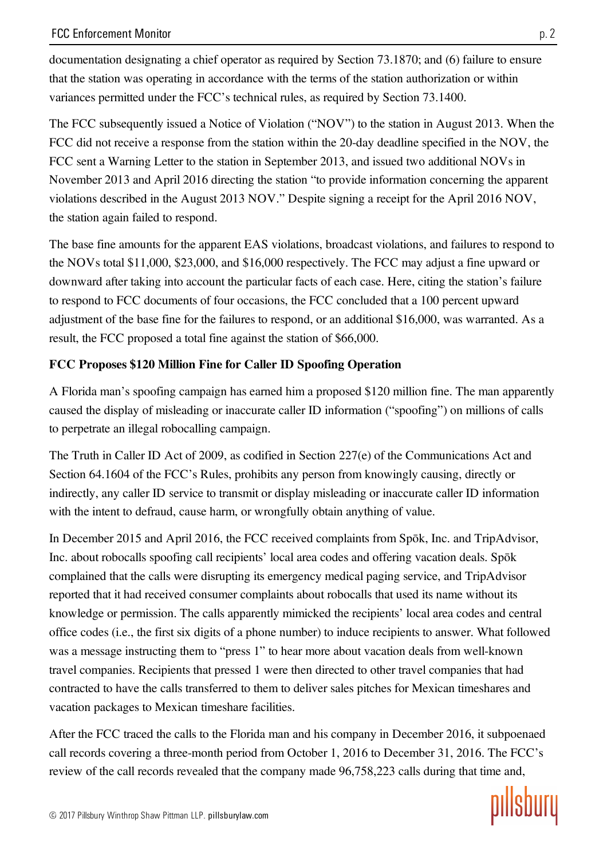documentation designating a chief operator as required by Section 73.1870; and (6) failure to ensure that the station was operating in accordance with the terms of the station authorization or within variances permitted under the FCC's technical rules, as required by Section 73.1400.

The FCC subsequently issued a Notice of Violation ("NOV") to the station in August 2013. When the FCC did not receive a response from the station within the 20-day deadline specified in the NOV, the FCC sent a Warning Letter to the station in September 2013, and issued two additional NOVs in November 2013 and April 2016 directing the station "to provide information concerning the apparent violations described in the August 2013 NOV." Despite signing a receipt for the April 2016 NOV, the station again failed to respond.

The base fine amounts for the apparent EAS violations, broadcast violations, and failures to respond to the NOVs total \$11,000, \$23,000, and \$16,000 respectively. The FCC may adjust a fine upward or downward after taking into account the particular facts of each case. Here, citing the station's failure to respond to FCC documents of four occasions, the FCC concluded that a 100 percent upward adjustment of the base fine for the failures to respond, or an additional \$16,000, was warranted. As a result, the FCC proposed a total fine against the station of \$66,000.

#### FCC Proposes \$120 Million Fine for Caller ID Spoofing Operation

A Florida man's spoofing campaign has earned him a proposed \$120 million fine. The man apparently caused the display of misleading or inaccurate caller ID information ("spoofing") on millions of calls to perpetrate an illegal robocalling campaign.

The Truth in Caller ID Act of 2009, as codified in Section 227(e) of the Communications Act and Section 64.1604 of the FCC's Rules, prohibits any person from knowingly causing, directly or indirectly, any caller ID service to transmit or display misleading or inaccurate caller ID information with the intent to defraud, cause harm, or wrongfully obtain anything of value.

In December 2015 and April 2016, the FCC received complaints from Spōk, Inc. and TripAdvisor, Inc. about robocalls spoofing call recipients' local area codes and offering vacation deals. Spōk complained that the calls were disrupting its emergency medical paging service, and TripAdvisor reported that it had received consumer complaints about robocalls that used its name without its knowledge or permission. The calls apparently mimicked the recipients' local area codes and central office codes (i.e., the first six digits of a phone number) to induce recipients to answer. What followed was a message instructing them to "press 1" to hear more about vacation deals from well-known travel companies. Recipients that pressed 1 were then directed to other travel companies that had contracted to have the calls transferred to them to deliver sales pitches for Mexican timeshares and vacation packages to Mexican timeshare facilities.

After the FCC traced the calls to the Florida man and his company in December 2016, it subpoenaed call records covering a three-month period from October 1, 2016 to December 31, 2016. The FCC's review of the call records revealed that the company made 96,758,223 calls during that time and,